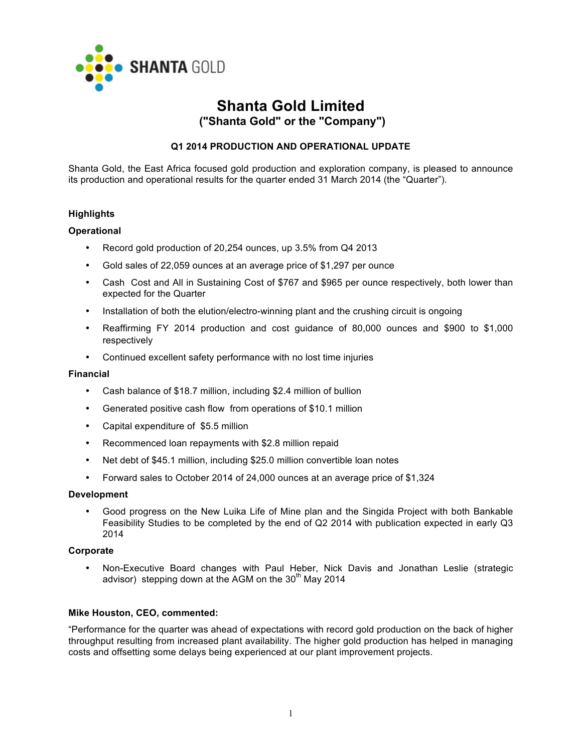

# **Shanta Gold Limited ("Shanta Gold" or the "Company")**

# **Q1 2014 PRODUCTION AND OPERATIONAL UPDATE**

Shanta Gold, the East Africa focused gold production and exploration company, is pleased to announce its production and operational results for the quarter ended 31 March 2014 (the "Quarter").

# **Highlights**

## **Operational**

- Record gold production of 20,254 ounces, up 3.5% from Q4 2013
- Gold sales of 22,059 ounces at an average price of \$1,297 per ounce
- Cash Cost and All in Sustaining Cost of \$767 and \$965 per ounce respectively, both lower than expected for the Quarter
- Installation of both the elution/electro-winning plant and the crushing circuit is ongoing
- Reaffirming FY 2014 production and cost guidance of 80,000 ounces and \$900 to \$1,000 respectively
- Continued excellent safety performance with no lost time injuries

#### **Financial**

- Cash balance of \$18.7 million, including \$2.4 million of bullion
- Generated positive cash flow from operations of \$10.1 million
- Capital expenditure of \$5.5 million
- Recommenced loan repayments with \$2.8 million repaid
- Net debt of \$45.1 million, including \$25.0 million convertible loan notes
- Forward sales to October 2014 of 24,000 ounces at an average price of \$1,324

#### **Development**

• Good progress on the New Luika Life of Mine plan and the Singida Project with both Bankable Feasibility Studies to be completed by the end of Q2 2014 with publication expected in early Q3 2014

#### **Corporate**

• Non-Executive Board changes with Paul Heber, Nick Davis and Jonathan Leslie (strategic advisor) stepping down at the AGM on the  $30<sup>th</sup>$  May 2014

## **Mike Houston, CEO, commented:**

"Performance for the quarter was ahead of expectations with record gold production on the back of higher throughput resulting from increased plant availability. The higher gold production has helped in managing costs and offsetting some delays being experienced at our plant improvement projects.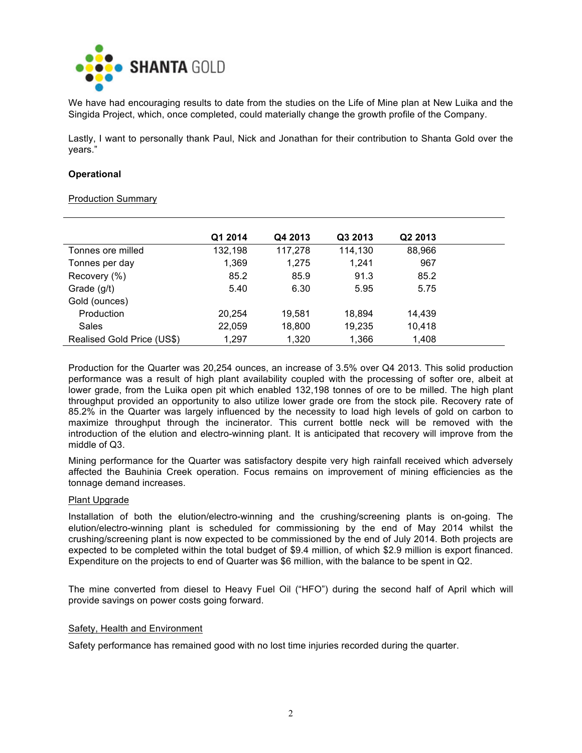

We have had encouraging results to date from the studies on the Life of Mine plan at New Luika and the Singida Project, which, once completed, could materially change the growth profile of the Company.

Lastly, I want to personally thank Paul, Nick and Jonathan for their contribution to Shanta Gold over the years."

### **Operational**

#### Production Summary

|                            | Q1 2014 | Q4 2013 | Q3 2013 | Q <sub>2</sub> 2013 |
|----------------------------|---------|---------|---------|---------------------|
| Tonnes ore milled          | 132,198 | 117,278 | 114,130 | 88,966              |
| Tonnes per day             | 1,369   | 1,275   | 1,241   | 967                 |
| Recovery (%)               | 85.2    | 85.9    | 91.3    | 85.2                |
| Grade (g/t)                | 5.40    | 6.30    | 5.95    | 5.75                |
| Gold (ounces)              |         |         |         |                     |
| Production                 | 20.254  | 19.581  | 18.894  | 14.439              |
| Sales                      | 22,059  | 18,800  | 19,235  | 10,418              |
| Realised Gold Price (US\$) | 1,297   | 1,320   | 1,366   | 1,408               |

Production for the Quarter was 20,254 ounces, an increase of 3.5% over Q4 2013. This solid production performance was a result of high plant availability coupled with the processing of softer ore, albeit at lower grade, from the Luika open pit which enabled 132,198 tonnes of ore to be milled. The high plant throughput provided an opportunity to also utilize lower grade ore from the stock pile. Recovery rate of 85.2% in the Quarter was largely influenced by the necessity to load high levels of gold on carbon to maximize throughput through the incinerator. This current bottle neck will be removed with the introduction of the elution and electro-winning plant. It is anticipated that recovery will improve from the middle of Q3.

Mining performance for the Quarter was satisfactory despite very high rainfall received which adversely affected the Bauhinia Creek operation. Focus remains on improvement of mining efficiencies as the tonnage demand increases.

#### Plant Upgrade

Installation of both the elution/electro-winning and the crushing/screening plants is on-going. The elution/electro-winning plant is scheduled for commissioning by the end of May 2014 whilst the crushing/screening plant is now expected to be commissioned by the end of July 2014. Both projects are expected to be completed within the total budget of \$9.4 million, of which \$2.9 million is export financed. Expenditure on the projects to end of Quarter was \$6 million, with the balance to be spent in Q2.

The mine converted from diesel to Heavy Fuel Oil ("HFO") during the second half of April which will provide savings on power costs going forward.

## Safety, Health and Environment

Safety performance has remained good with no lost time injuries recorded during the quarter.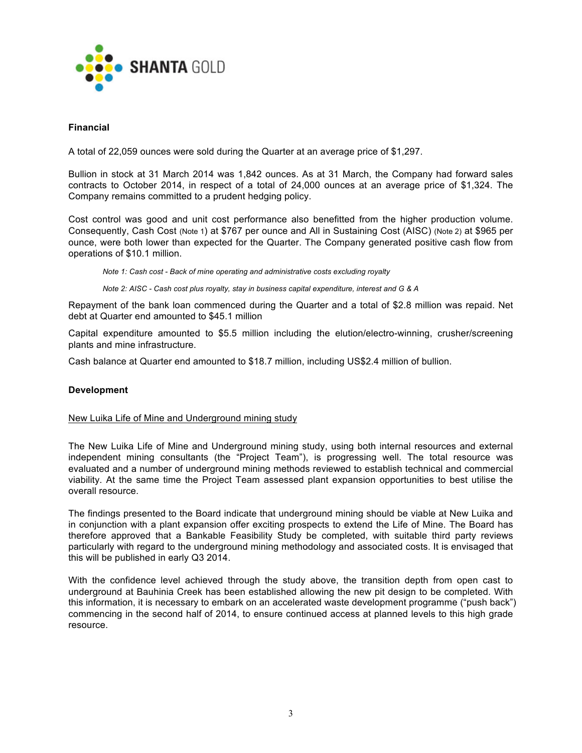

# **Financial**

A total of 22,059 ounces were sold during the Quarter at an average price of \$1,297.

Bullion in stock at 31 March 2014 was 1,842 ounces. As at 31 March, the Company had forward sales contracts to October 2014, in respect of a total of 24,000 ounces at an average price of \$1,324. The Company remains committed to a prudent hedging policy.

Cost control was good and unit cost performance also benefitted from the higher production volume. Consequently, Cash Cost (Note 1) at \$767 per ounce and All in Sustaining Cost (AISC) (Note 2) at \$965 per ounce, were both lower than expected for the Quarter. The Company generated positive cash flow from operations of \$10.1 million.

*Note 1: Cash cost - Back of mine operating and administrative costs excluding royalty*

*Note 2: AISC - Cash cost plus royalty, stay in business capital expenditure, interest and G & A*

Repayment of the bank loan commenced during the Quarter and a total of \$2.8 million was repaid. Net debt at Quarter end amounted to \$45.1 million

Capital expenditure amounted to \$5.5 million including the elution/electro-winning, crusher/screening plants and mine infrastructure.

Cash balance at Quarter end amounted to \$18.7 million, including US\$2.4 million of bullion.

## **Development**

## New Luika Life of Mine and Underground mining study

The New Luika Life of Mine and Underground mining study, using both internal resources and external independent mining consultants (the "Project Team"), is progressing well. The total resource was evaluated and a number of underground mining methods reviewed to establish technical and commercial viability. At the same time the Project Team assessed plant expansion opportunities to best utilise the overall resource.

The findings presented to the Board indicate that underground mining should be viable at New Luika and in conjunction with a plant expansion offer exciting prospects to extend the Life of Mine. The Board has therefore approved that a Bankable Feasibility Study be completed, with suitable third party reviews particularly with regard to the underground mining methodology and associated costs. It is envisaged that this will be published in early Q3 2014.

With the confidence level achieved through the study above, the transition depth from open cast to underground at Bauhinia Creek has been established allowing the new pit design to be completed. With this information, it is necessary to embark on an accelerated waste development programme ("push back") commencing in the second half of 2014, to ensure continued access at planned levels to this high grade resource.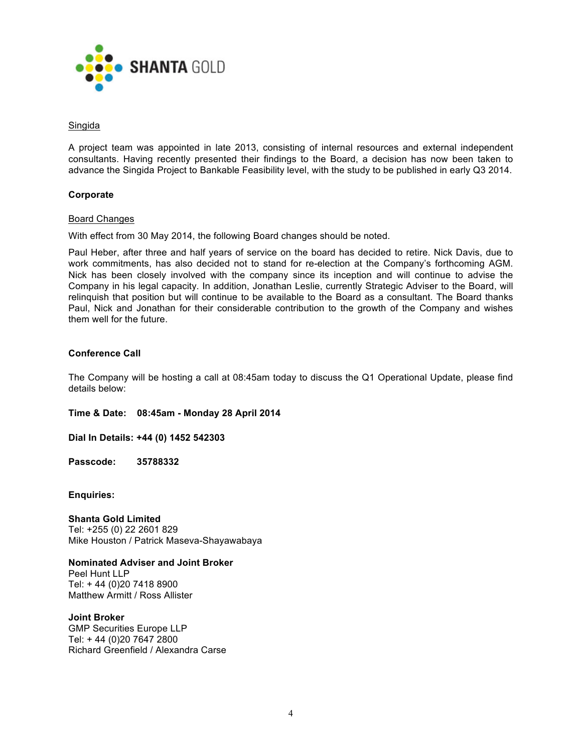

## Singida

A project team was appointed in late 2013, consisting of internal resources and external independent consultants. Having recently presented their findings to the Board, a decision has now been taken to advance the Singida Project to Bankable Feasibility level, with the study to be published in early Q3 2014.

# **Corporate**

## Board Changes

With effect from 30 May 2014, the following Board changes should be noted.

Paul Heber, after three and half years of service on the board has decided to retire. Nick Davis, due to work commitments, has also decided not to stand for re-election at the Company's forthcoming AGM. Nick has been closely involved with the company since its inception and will continue to advise the Company in his legal capacity. In addition, Jonathan Leslie, currently Strategic Adviser to the Board, will relinquish that position but will continue to be available to the Board as a consultant. The Board thanks Paul, Nick and Jonathan for their considerable contribution to the growth of the Company and wishes them well for the future.

# **Conference Call**

The Company will be hosting a call at 08:45am today to discuss the Q1 Operational Update, please find details below:

**Time & Date: 08:45am - Monday 28 April 2014**

**Dial In Details: +44 (0) 1452 542303**

**Passcode: 35788332**

**Enquiries:**

**Shanta Gold Limited**  Tel: +255 (0) 22 2601 829 Mike Houston / Patrick Maseva-Shayawabaya

**Nominated Adviser and Joint Broker** Peel Hunt LLP Tel: + 44 (0)20 7418 8900 Matthew Armitt / Ross Allister

**Joint Broker**

GMP Securities Europe LLP Tel: + 44 (0)20 7647 2800 Richard Greenfield / Alexandra Carse